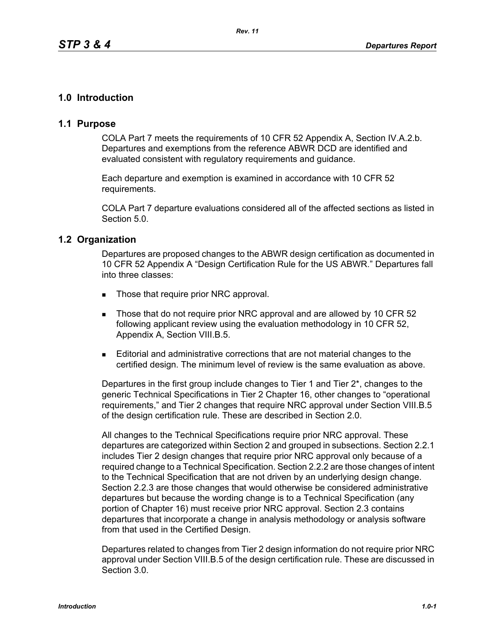# **1.0 Introduction**

## **1.1 Purpose**

COLA Part 7 meets the requirements of 10 CFR 52 Appendix A, Section IV.A.2.b. Departures and exemptions from the reference ABWR DCD are identified and evaluated consistent with regulatory requirements and guidance.

Each departure and exemption is examined in accordance with 10 CFR 52 requirements.

COLA Part 7 departure evaluations considered all of the affected sections as listed in Section 5.0.

### **1.2 Organization**

Departures are proposed changes to the ABWR design certification as documented in 10 CFR 52 Appendix A "Design Certification Rule for the US ABWR." Departures fall into three classes:

- Those that require prior NRC approval.
- Those that do not require prior NRC approval and are allowed by 10 CFR 52 following applicant review using the evaluation methodology in 10 CFR 52, Appendix A, Section VIII.B.5.
- Editorial and administrative corrections that are not material changes to the certified design. The minimum level of review is the same evaluation as above.

Departures in the first group include changes to Tier 1 and Tier 2\*, changes to the generic Technical Specifications in Tier 2 Chapter 16, other changes to "operational requirements," and Tier 2 changes that require NRC approval under Section VIII.B.5 of the design certification rule. These are described in Section 2.0.

All changes to the Technical Specifications require prior NRC approval. These departures are categorized within Section 2 and grouped in subsections. Section 2.2.1 includes Tier 2 design changes that require prior NRC approval only because of a required change to a Technical Specification. Section 2.2.2 are those changes of intent to the Technical Specification that are not driven by an underlying design change. Section 2.2.3 are those changes that would otherwise be considered administrative departures but because the wording change is to a Technical Specification (any portion of Chapter 16) must receive prior NRC approval. Section 2.3 contains departures that incorporate a change in analysis methodology or analysis software from that used in the Certified Design.

Departures related to changes from Tier 2 design information do not require prior NRC approval under Section VIII.B.5 of the design certification rule. These are discussed in Section 3.0.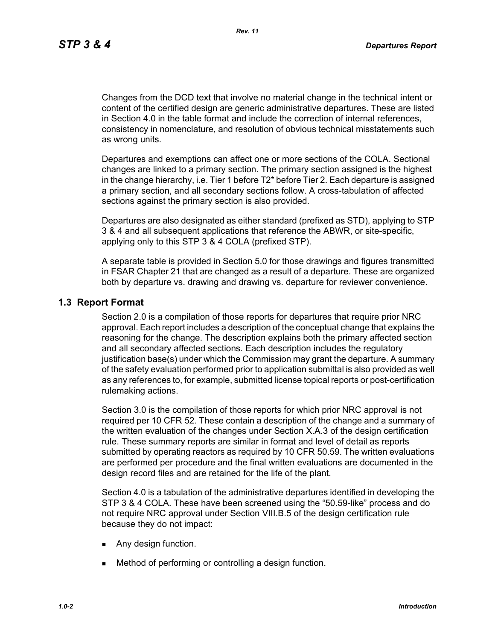Changes from the DCD text that involve no material change in the technical intent or content of the certified design are generic administrative departures. These are listed in Section 4.0 in the table format and include the correction of internal references, consistency in nomenclature, and resolution of obvious technical misstatements such as wrong units.

Departures and exemptions can affect one or more sections of the COLA. Sectional changes are linked to a primary section. The primary section assigned is the highest in the change hierarchy, i.e. Tier 1 before T2\* before Tier 2. Each departure is assigned a primary section, and all secondary sections follow. A cross-tabulation of affected sections against the primary section is also provided.

Departures are also designated as either standard (prefixed as STD), applying to STP 3 & 4 and all subsequent applications that reference the ABWR, or site-specific, applying only to this STP 3 & 4 COLA (prefixed STP).

A separate table is provided in Section 5.0 for those drawings and figures transmitted in FSAR Chapter 21 that are changed as a result of a departure. These are organized both by departure vs. drawing and drawing vs. departure for reviewer convenience.

## **1.3 Report Format**

Section 2.0 is a compilation of those reports for departures that require prior NRC approval. Each report includes a description of the conceptual change that explains the reasoning for the change. The description explains both the primary affected section and all secondary affected sections. Each description includes the regulatory justification base(s) under which the Commission may grant the departure. A summary of the safety evaluation performed prior to application submittal is also provided as well as any references to, for example, submitted license topical reports or post-certification rulemaking actions.

Section 3.0 is the compilation of those reports for which prior NRC approval is not required per 10 CFR 52. These contain a description of the change and a summary of the written evaluation of the changes under Section X.A.3 of the design certification rule. These summary reports are similar in format and level of detail as reports submitted by operating reactors as required by 10 CFR 50.59. The written evaluations are performed per procedure and the final written evaluations are documented in the design record files and are retained for the life of the plant*.*

Section 4.0 is a tabulation of the administrative departures identified in developing the STP 3 & 4 COLA. These have been screened using the "50.59-like" process and do not require NRC approval under Section VIII.B.5 of the design certification rule because they do not impact:

- **Any design function.**
- **Method of performing or controlling a design function.**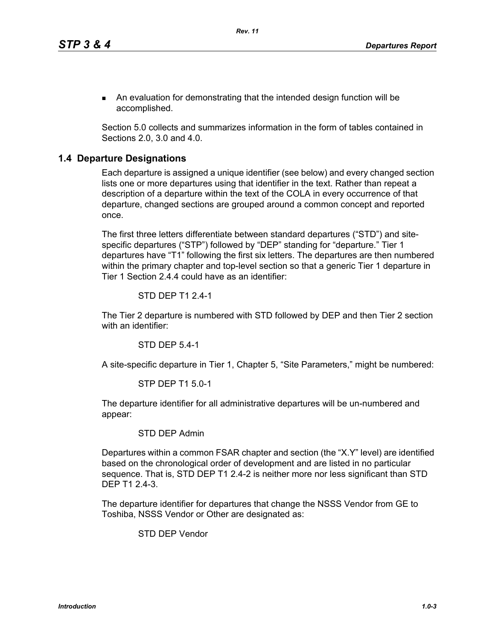An evaluation for demonstrating that the intended design function will be accomplished.

Section 5.0 collects and summarizes information in the form of tables contained in Sections 2.0, 3.0 and 4.0.

## **1.4 Departure Designations**

Each departure is assigned a unique identifier (see below) and every changed section lists one or more departures using that identifier in the text. Rather than repeat a description of a departure within the text of the COLA in every occurrence of that departure, changed sections are grouped around a common concept and reported once.

The first three letters differentiate between standard departures ("STD") and sitespecific departures ("STP") followed by "DEP" standing for "departure." Tier 1 departures have "T1" following the first six letters. The departures are then numbered within the primary chapter and top-level section so that a generic Tier 1 departure in Tier 1 Section 2.4.4 could have as an identifier:

#### STD DEP T1 2.4-1

The Tier 2 departure is numbered with STD followed by DEP and then Tier 2 section with an identifier:

STD DEP 5.4-1

A site-specific departure in Tier 1, Chapter 5, "Site Parameters," might be numbered:

#### STP DEP T1 5.0-1

The departure identifier for all administrative departures will be un-numbered and appear:

### STD DEP Admin

Departures within a common FSAR chapter and section (the "X.Y" level) are identified based on the chronological order of development and are listed in no particular sequence. That is, STD DEP T1 2.4-2 is neither more nor less significant than STD DEP T1 2.4-3.

The departure identifier for departures that change the NSSS Vendor from GE to Toshiba, NSSS Vendor or Other are designated as:

STD DEP Vendor